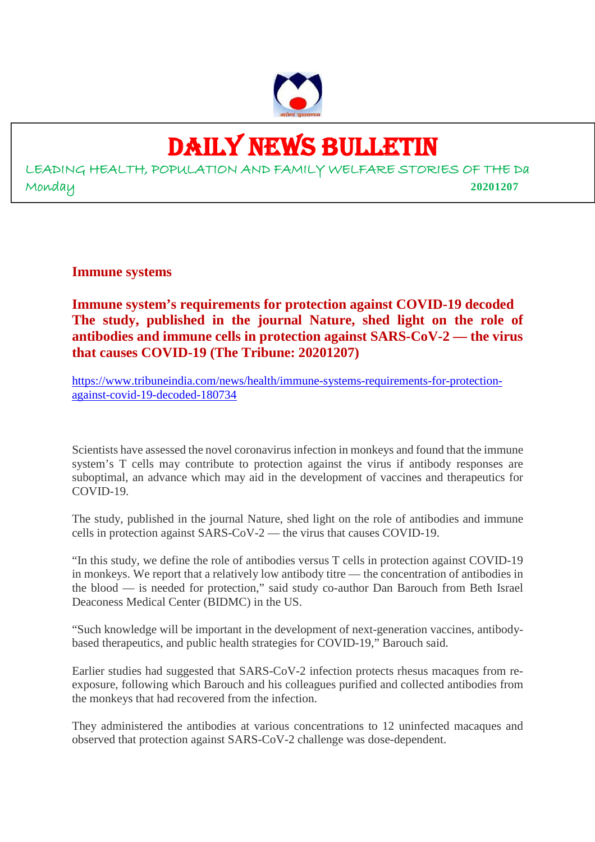

# DAILY NEWS BULLETIN

LEADING HEALTH, POPULATION AND FAMILY WELFARE STORIES OF THE Da Monday **20201207**

**Immune systems**

**Immune system's requirements for protection against COVID-19 decoded The study, published in the journal Nature, shed light on the role of antibodies and immune cells in protection against SARS-CoV-2 — the virus that causes COVID-19 (The Tribune: 20201207)**

https://www.tribuneindia.com/news/health/immune-systems-requirements-for-protectionagainst-covid-19-decoded-180734

Scientists have assessed the novel coronavirus infection in monkeys and found that the immune system's T cells may contribute to protection against the virus if antibody responses are suboptimal, an advance which may aid in the development of vaccines and therapeutics for COVID-19.

The study, published in the journal Nature, shed light on the role of antibodies and immune cells in protection against SARS-CoV-2 — the virus that causes COVID-19.

"In this study, we define the role of antibodies versus T cells in protection against COVID-19 in monkeys. We report that a relatively low antibody titre — the concentration of antibodies in the blood — is needed for protection," said study co-author Dan Barouch from Beth Israel Deaconess Medical Center (BIDMC) in the US.

"Such knowledge will be important in the development of next-generation vaccines, antibodybased therapeutics, and public health strategies for COVID-19," Barouch said.

Earlier studies had suggested that SARS-CoV-2 infection protects rhesus macaques from reexposure, following which Barouch and his colleagues purified and collected antibodies from the monkeys that had recovered from the infection.

They administered the antibodies at various concentrations to 12 uninfected macaques and observed that protection against SARS-CoV-2 challenge was dose-dependent.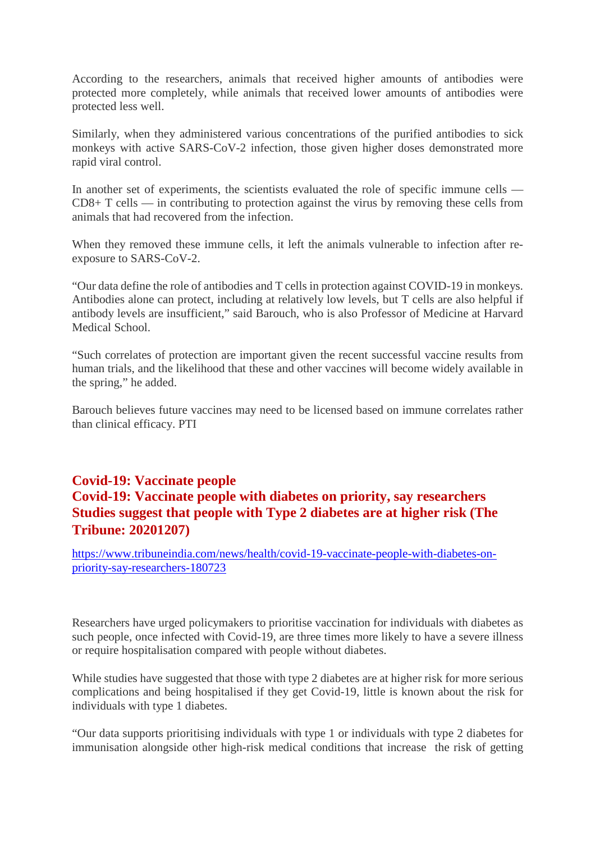According to the researchers, animals that received higher amounts of antibodies were protected more completely, while animals that received lower amounts of antibodies were protected less well.

Similarly, when they administered various concentrations of the purified antibodies to sick monkeys with active SARS-CoV-2 infection, those given higher doses demonstrated more rapid viral control.

In another set of experiments, the scientists evaluated the role of specific immune cells — CD8+ T cells — in contributing to protection against the virus by removing these cells from animals that had recovered from the infection.

When they removed these immune cells, it left the animals vulnerable to infection after reexposure to SARS-CoV-2.

"Our data define the role of antibodies and T cells in protection against COVID-19 in monkeys. Antibodies alone can protect, including at relatively low levels, but T cells are also helpful if antibody levels are insufficient," said Barouch, who is also Professor of Medicine at Harvard Medical School.

"Such correlates of protection are important given the recent successful vaccine results from human trials, and the likelihood that these and other vaccines will become widely available in the spring," he added.

Barouch believes future vaccines may need to be licensed based on immune correlates rather than clinical efficacy. PTI

### **Covid-19: Vaccinate people**

# **Covid-19: Vaccinate people with diabetes on priority, say researchers Studies suggest that people with Type 2 diabetes are at higher risk (The Tribune: 20201207)**

https://www.tribuneindia.com/news/health/covid-19-vaccinate-people-with-diabetes-onpriority-say-researchers-180723

Researchers have urged policymakers to prioritise vaccination for individuals with diabetes as such people, once infected with Covid-19, are three times more likely to have a severe illness or require hospitalisation compared with people without diabetes.

While studies have suggested that those with type 2 diabetes are at higher risk for more serious complications and being hospitalised if they get Covid-19, little is known about the risk for individuals with type 1 diabetes.

"Our data supports prioritising individuals with type 1 or individuals with type 2 diabetes for immunisation alongside other high-risk medical conditions that increase the risk of getting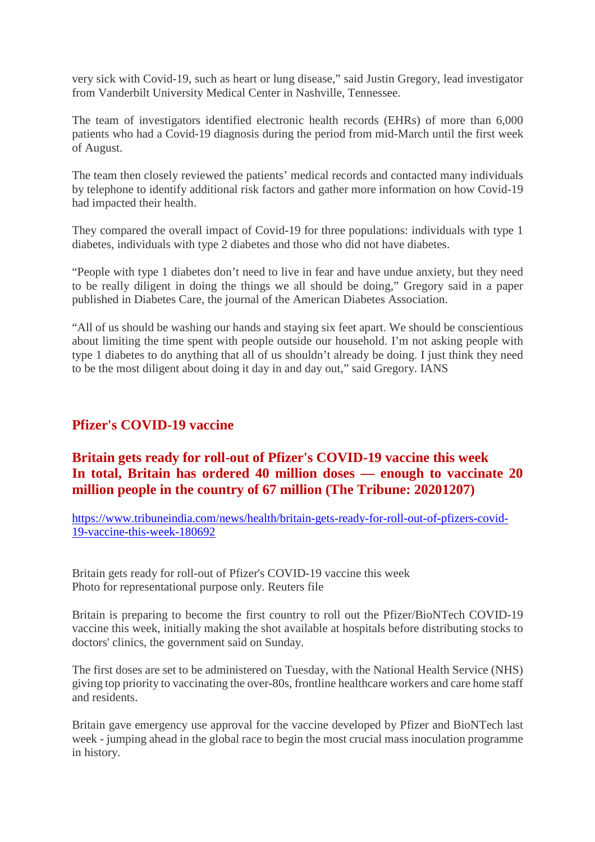very sick with Covid-19, such as heart or lung disease," said Justin Gregory, lead investigator from Vanderbilt University Medical Center in Nashville, Tennessee.

The team of investigators identified electronic health records (EHRs) of more than 6,000 patients who had a Covid-19 diagnosis during the period from mid-March until the first week of August.

The team then closely reviewed the patients' medical records and contacted many individuals by telephone to identify additional risk factors and gather more information on how Covid-19 had impacted their health.

They compared the overall impact of Covid-19 for three populations: individuals with type 1 diabetes, individuals with type 2 diabetes and those who did not have diabetes.

"People with type 1 diabetes don't need to live in fear and have undue anxiety, but they need to be really diligent in doing the things we all should be doing," Gregory said in a paper published in Diabetes Care, the journal of the American Diabetes Association.

"All of us should be washing our hands and staying six feet apart. We should be conscientious about limiting the time spent with people outside our household. I'm not asking people with type 1 diabetes to do anything that all of us shouldn't already be doing. I just think they need to be the most diligent about doing it day in and day out," said Gregory. IANS

# **Pfizer's COVID-19 vaccine**

# **Britain gets ready for roll-out of Pfizer's COVID-19 vaccine this week In total, Britain has ordered 40 million doses — enough to vaccinate 20 million people in the country of 67 million (The Tribune: 20201207)**

https://www.tribuneindia.com/news/health/britain-gets-ready-for-roll-out-of-pfizers-covid-19-vaccine-this-week-180692

Britain gets ready for roll-out of Pfizer's COVID-19 vaccine this week Photo for representational purpose only. Reuters file

Britain is preparing to become the first country to roll out the Pfizer/BioNTech COVID-19 vaccine this week, initially making the shot available at hospitals before distributing stocks to doctors' clinics, the government said on Sunday.

The first doses are set to be administered on Tuesday, with the National Health Service (NHS) giving top priority to vaccinating the over-80s, frontline healthcare workers and care home staff and residents.

Britain gave emergency use approval for the vaccine developed by Pfizer and BioNTech last week - jumping ahead in the global race to begin the most crucial mass inoculation programme in history.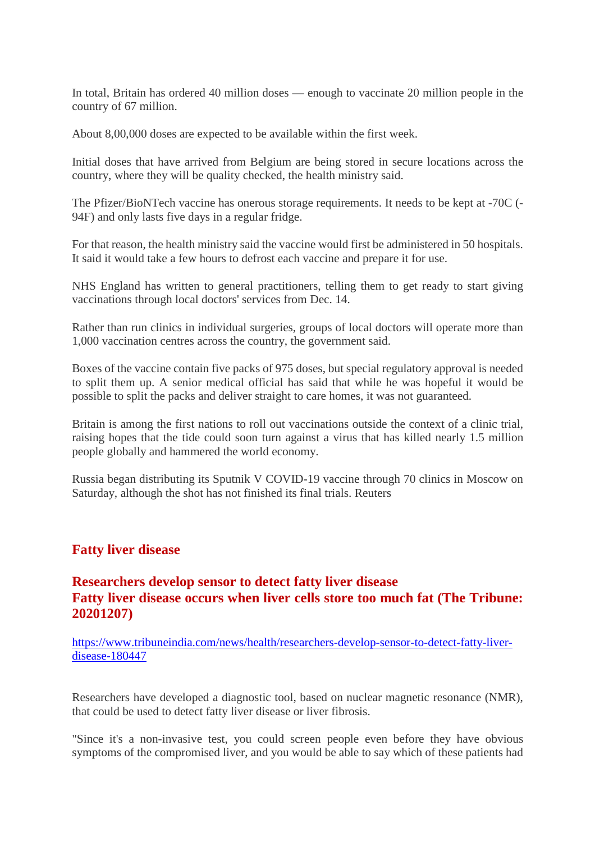In total, Britain has ordered 40 million doses — enough to vaccinate 20 million people in the country of 67 million.

About 8,00,000 doses are expected to be available within the first week.

Initial doses that have arrived from Belgium are being stored in secure locations across the country, where they will be quality checked, the health ministry said.

The Pfizer/BioNTech vaccine has onerous storage requirements. It needs to be kept at -70C (- 94F) and only lasts five days in a regular fridge.

For that reason, the health ministry said the vaccine would first be administered in 50 hospitals. It said it would take a few hours to defrost each vaccine and prepare it for use.

NHS England has written to general practitioners, telling them to get ready to start giving vaccinations through local doctors' services from Dec. 14.

Rather than run clinics in individual surgeries, groups of local doctors will operate more than 1,000 vaccination centres across the country, the government said.

Boxes of the vaccine contain five packs of 975 doses, but special regulatory approval is needed to split them up. A senior medical official has said that while he was hopeful it would be possible to split the packs and deliver straight to care homes, it was not guaranteed.

Britain is among the first nations to roll out vaccinations outside the context of a clinic trial, raising hopes that the tide could soon turn against a virus that has killed nearly 1.5 million people globally and hammered the world economy.

Russia began distributing its Sputnik V COVID-19 vaccine through 70 clinics in Moscow on Saturday, although the shot has not finished its final trials. Reuters

#### **Fatty liver disease**

### **Researchers develop sensor to detect fatty liver disease Fatty liver disease occurs when liver cells store too much fat (The Tribune: 20201207)**

https://www.tribuneindia.com/news/health/researchers-develop-sensor-to-detect-fatty-liverdisease-180447

Researchers have developed a diagnostic tool, based on nuclear magnetic resonance (NMR), that could be used to detect fatty liver disease or liver fibrosis.

"Since it's a non-invasive test, you could screen people even before they have obvious symptoms of the compromised liver, and you would be able to say which of these patients had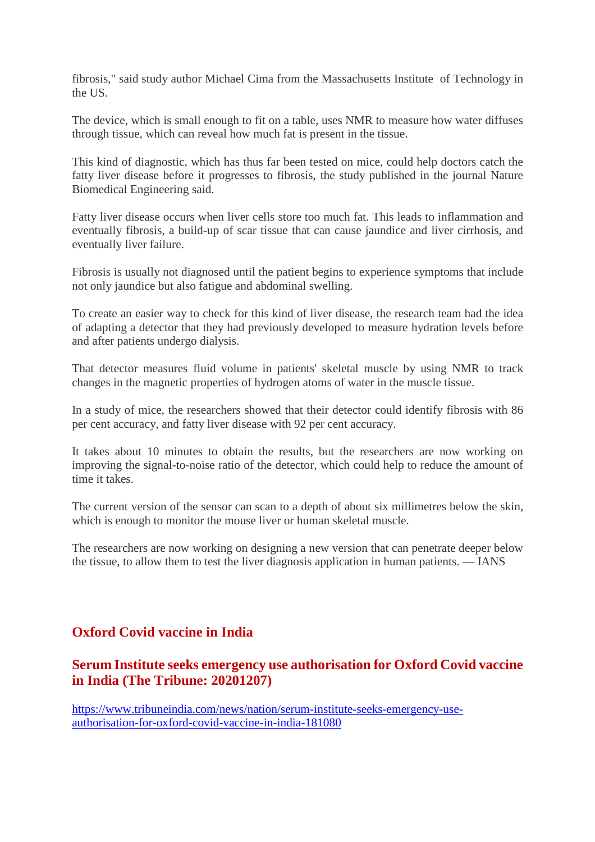fibrosis," said study author Michael Cima from the Massachusetts Institute of Technology in the US.

The device, which is small enough to fit on a table, uses NMR to measure how water diffuses through tissue, which can reveal how much fat is present in the tissue.

This kind of diagnostic, which has thus far been tested on mice, could help doctors catch the fatty liver disease before it progresses to fibrosis, the study published in the journal Nature Biomedical Engineering said.

Fatty liver disease occurs when liver cells store too much fat. This leads to inflammation and eventually fibrosis, a build-up of scar tissue that can cause jaundice and liver cirrhosis, and eventually liver failure.

Fibrosis is usually not diagnosed until the patient begins to experience symptoms that include not only jaundice but also fatigue and abdominal swelling.

To create an easier way to check for this kind of liver disease, the research team had the idea of adapting a detector that they had previously developed to measure hydration levels before and after patients undergo dialysis.

That detector measures fluid volume in patients' skeletal muscle by using NMR to track changes in the magnetic properties of hydrogen atoms of water in the muscle tissue.

In a study of mice, the researchers showed that their detector could identify fibrosis with 86 per cent accuracy, and fatty liver disease with 92 per cent accuracy.

It takes about 10 minutes to obtain the results, but the researchers are now working on improving the signal-to-noise ratio of the detector, which could help to reduce the amount of time it takes.

The current version of the sensor can scan to a depth of about six millimetres below the skin, which is enough to monitor the mouse liver or human skeletal muscle.

The researchers are now working on designing a new version that can penetrate deeper below the tissue, to allow them to test the liver diagnosis application in human patients. — IANS

# **Oxford Covid vaccine in India**

# **Serum Institute seeks emergency use authorisation for Oxford Covid vaccine in India (The Tribune: 20201207)**

https://www.tribuneindia.com/news/nation/serum-institute-seeks-emergency-useauthorisation-for-oxford-covid-vaccine-in-india-181080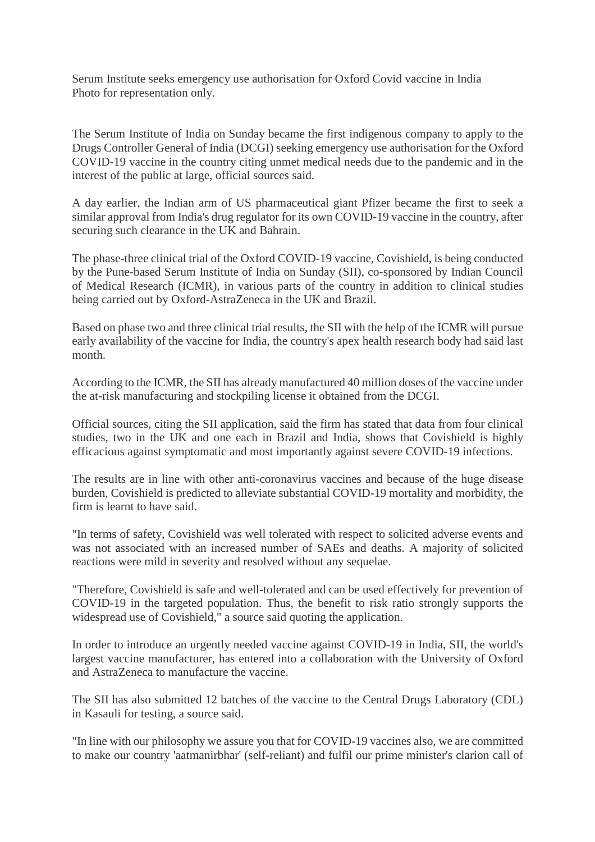Serum Institute seeks emergency use authorisation for Oxford Covid vaccine in India Photo for representation only.

The Serum Institute of India on Sunday became the first indigenous company to apply to the Drugs Controller General of India (DCGI) seeking emergency use authorisation for the Oxford COVID-19 vaccine in the country citing unmet medical needs due to the pandemic and in the interest of the public at large, official sources said.

A day earlier, the Indian arm of US pharmaceutical giant Pfizer became the first to seek a similar approval from India's drug regulator for its own COVID-19 vaccine in the country, after securing such clearance in the UK and Bahrain.

The phase-three clinical trial of the Oxford COVID-19 vaccine, Covishield, is being conducted by the Pune-based Serum Institute of India on Sunday (SII), co-sponsored by Indian Council of Medical Research (ICMR), in various parts of the country in addition to clinical studies being carried out by Oxford-AstraZeneca in the UK and Brazil.

Based on phase two and three clinical trial results, the SII with the help of the ICMR will pursue early availability of the vaccine for India, the country's apex health research body had said last month.

According to the ICMR, the SII has already manufactured 40 million doses of the vaccine under the at-risk manufacturing and stockpiling license it obtained from the DCGI.

Official sources, citing the SII application, said the firm has stated that data from four clinical studies, two in the UK and one each in Brazil and India, shows that Covishield is highly efficacious against symptomatic and most importantly against severe COVID-19 infections.

The results are in line with other anti-coronavirus vaccines and because of the huge disease burden, Covishield is predicted to alleviate substantial COVID-19 mortality and morbidity, the firm is learnt to have said.

"In terms of safety, Covishield was well tolerated with respect to solicited adverse events and was not associated with an increased number of SAEs and deaths. A majority of solicited reactions were mild in severity and resolved without any sequelae.

"Therefore, Covishield is safe and well-tolerated and can be used effectively for prevention of COVID-19 in the targeted population. Thus, the benefit to risk ratio strongly supports the widespread use of Covishield," a source said quoting the application.

In order to introduce an urgently needed vaccine against COVID-19 in India, SII, the world's largest vaccine manufacturer, has entered into a collaboration with the University of Oxford and AstraZeneca to manufacture the vaccine.

The SII has also submitted 12 batches of the vaccine to the Central Drugs Laboratory (CDL) in Kasauli for testing, a source said.

"In line with our philosophy we assure you that for COVID-19 vaccines also, we are committed to make our country 'aatmanirbhar' (self-reliant) and fulfil our prime minister's clarion call of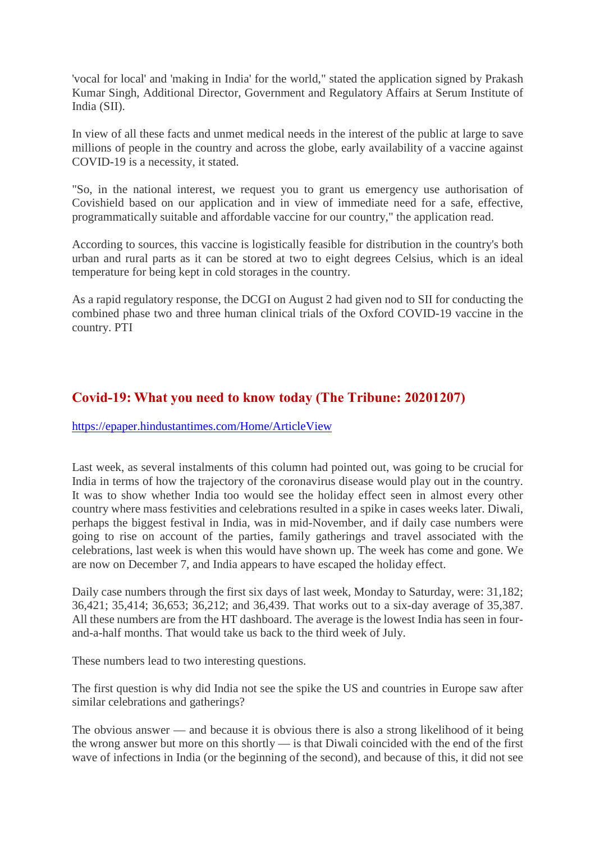'vocal for local' and 'making in India' for the world," stated the application signed by Prakash Kumar Singh, Additional Director, Government and Regulatory Affairs at Serum Institute of India (SII).

In view of all these facts and unmet medical needs in the interest of the public at large to save millions of people in the country and across the globe, early availability of a vaccine against COVID-19 is a necessity, it stated.

"So, in the national interest, we request you to grant us emergency use authorisation of Covishield based on our application and in view of immediate need for a safe, effective, programmatically suitable and affordable vaccine for our country," the application read.

According to sources, this vaccine is logistically feasible for distribution in the country's both urban and rural parts as it can be stored at two to eight degrees Celsius, which is an ideal temperature for being kept in cold storages in the country.

As a rapid regulatory response, the DCGI on August 2 had given nod to SII for conducting the combined phase two and three human clinical trials of the Oxford COVID-19 vaccine in the country. PTI

# **Covid-19: What you need to know today (The Tribune: 20201207)**

https://epaper.hindustantimes.com/Home/ArticleView

Last week, as several instalments of this column had pointed out, was going to be crucial for India in terms of how the trajectory of the coronavirus disease would play out in the country. It was to show whether India too would see the holiday effect seen in almost every other country where mass festivities and celebrations resulted in a spike in cases weeks later. Diwali, perhaps the biggest festival in India, was in mid-November, and if daily case numbers were going to rise on account of the parties, family gatherings and travel associated with the celebrations, last week is when this would have shown up. The week has come and gone. We are now on December 7, and India appears to have escaped the holiday effect.

Daily case numbers through the first six days of last week, Monday to Saturday, were: 31,182; 36,421; 35,414; 36,653; 36,212; and 36,439. That works out to a six-day average of 35,387. All these numbers are from the HT dashboard. The average is the lowest India has seen in fourand-a-half months. That would take us back to the third week of July.

These numbers lead to two interesting questions.

The first question is why did India not see the spike the US and countries in Europe saw after similar celebrations and gatherings?

The obvious answer — and because it is obvious there is also a strong likelihood of it being the wrong answer but more on this shortly — is that Diwali coincided with the end of the first wave of infections in India (or the beginning of the second), and because of this, it did not see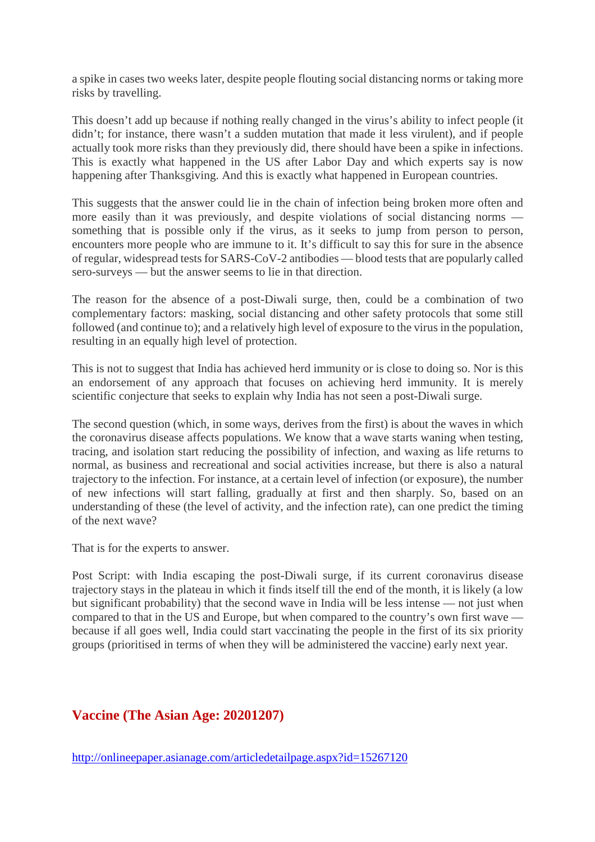a spike in cases two weeks later, despite people flouting social distancing norms or taking more risks by travelling.

This doesn't add up because if nothing really changed in the virus's ability to infect people (it didn't; for instance, there wasn't a sudden mutation that made it less virulent), and if people actually took more risks than they previously did, there should have been a spike in infections. This is exactly what happened in the US after Labor Day and which experts say is now happening after Thanksgiving. And this is exactly what happened in European countries.

This suggests that the answer could lie in the chain of infection being broken more often and more easily than it was previously, and despite violations of social distancing norms something that is possible only if the virus, as it seeks to jump from person to person, encounters more people who are immune to it. It's difficult to say this for sure in the absence of regular, widespread tests for SARS-CoV-2 antibodies — blood tests that are popularly called sero-surveys — but the answer seems to lie in that direction.

The reason for the absence of a post-Diwali surge, then, could be a combination of two complementary factors: masking, social distancing and other safety protocols that some still followed (and continue to); and a relatively high level of exposure to the virus in the population, resulting in an equally high level of protection.

This is not to suggest that India has achieved herd immunity or is close to doing so. Nor is this an endorsement of any approach that focuses on achieving herd immunity. It is merely scientific conjecture that seeks to explain why India has not seen a post-Diwali surge.

The second question (which, in some ways, derives from the first) is about the waves in which the coronavirus disease affects populations. We know that a wave starts waning when testing, tracing, and isolation start reducing the possibility of infection, and waxing as life returns to normal, as business and recreational and social activities increase, but there is also a natural trajectory to the infection. For instance, at a certain level of infection (or exposure), the number of new infections will start falling, gradually at first and then sharply. So, based on an understanding of these (the level of activity, and the infection rate), can one predict the timing of the next wave?

That is for the experts to answer.

Post Script: with India escaping the post-Diwali surge, if its current coronavirus disease trajectory stays in the plateau in which it finds itself till the end of the month, it is likely (a low but significant probability) that the second wave in India will be less intense — not just when compared to that in the US and Europe, but when compared to the country's own first wave because if all goes well, India could start vaccinating the people in the first of its six priority groups (prioritised in terms of when they will be administered the vaccine) early next year.

# **Vaccine (The Asian Age: 20201207)**

http://onlineepaper.asianage.com/articledetailpage.aspx?id=15267120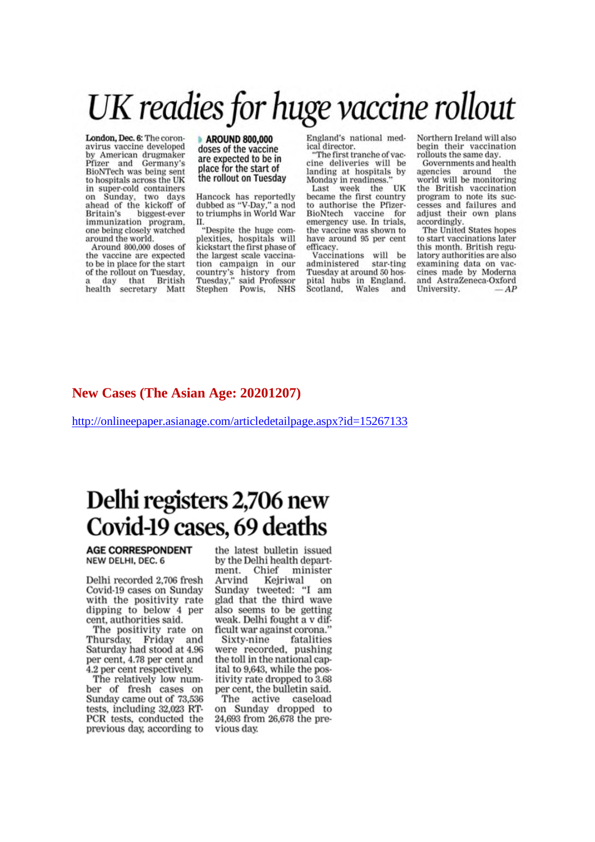# UK readies for huge vaccine rollout

London, Dec. 6: The coronavirus vaccine developed by American drugmaker Pfizer and Germany's BioNTech was being sent to hospitals across the UK in super-cold containers on Sunday, two days<br>ahead of the kickoff of Britain's biggest-ever immunization program, one being closely watched around the world.

Around 800,000 doses of the vaccine are expected to be in place for the start of the rollout on Tuesday, that British day health secretary Matt

#### **AROUND 800,000** doses of the vaccine are expected to be in place for the start of the rollout on Tuesday

Hancock has reportedly dubbed as "V-Day," a nod to triumphs in World War П.

"Despite the huge complexities, hospitals will kickstart the first phase of the largest scale vaccination campaign in our country's history from<br>Tuesday," said Professor<br>Stephen Powis, NHS England's national medical director.

"The first tranche of vaccine deliveries will be landing at hospitals by Monday in readiness.

Last week the UK became the first country to authorise the Pfizer-BioNtech vaccine for emergency use. In trials, the vaccine was shown to have around 95 per cent efficacy.

Vaccinations will be administered star-ting Tuesday at around 50 hospital hubs in England.<br>Scotland, Wales and Northern Ireland will also begin their vaccination rollouts the same day.

Governments and health agencies around the world will be monitoring the British vaccination program to note its successes and failures and adjust their own plans accordingly.

The United States hopes to start vaccinations later this month. British regulatory authorities are also examining data on vaccines made by Moderna and AstraZeneca-Oxford University.  $AP$ 

### **New Cases (The Asian Age: 20201207)**

http://onlineepaper.asianage.com/articledetailpage.aspx?id=15267133

# Delhi registers 2,706 new Covid-19 cases, 69 deaths

**AGE CORRESPONDENT** NEW DELHI, DEC. 6

Delhi recorded 2,706 fresh Covid-19 cases on Sunday with the positivity rate dipping to below 4 per cent, authorities said.

The positivity rate on Thursday, Friday and Saturday had stood at 4.96 per cent, 4.78 per cent and 4.2 per cent respectively.

The relatively low number of fresh cases on Sunday came out of 73,536 tests, including 32,023 RT-PCR tests, conducted the previous day, according to

the latest bulletin issued by the Delhi health depart-Chief ment. minister Arvind Kejriwal on Sunday tweeted: "I am glad that the third wave also seems to be getting weak. Delhi fought a v difficult war against corona."

Sixty-nine fatalities<br>were recorded, pushing the toll in the national capital to 9,643, while the positivity rate dropped to 3.68 per cent, the bulletin said.

The active caseload on Sunday dropped to 24,693 from 26,678 the previous day.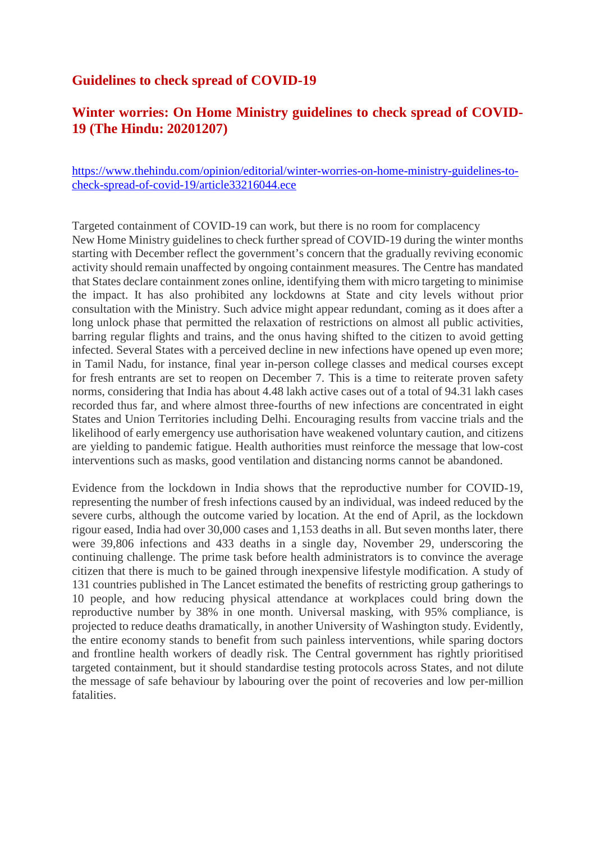# **Guidelines to check spread of COVID-19**

# **Winter worries: On Home Ministry guidelines to check spread of COVID-19 (The Hindu: 20201207)**

https://www.thehindu.com/opinion/editorial/winter-worries-on-home-ministry-guidelines-tocheck-spread-of-covid-19/article33216044.ece

Targeted containment of COVID-19 can work, but there is no room for complacency New Home Ministry guidelines to check further spread of COVID-19 during the winter months starting with December reflect the government's concern that the gradually reviving economic activity should remain unaffected by ongoing containment measures. The Centre has mandated that States declare containment zones online, identifying them with micro targeting to minimise the impact. It has also prohibited any lockdowns at State and city levels without prior consultation with the Ministry. Such advice might appear redundant, coming as it does after a long unlock phase that permitted the relaxation of restrictions on almost all public activities, barring regular flights and trains, and the onus having shifted to the citizen to avoid getting infected. Several States with a perceived decline in new infections have opened up even more; in Tamil Nadu, for instance, final year in-person college classes and medical courses except for fresh entrants are set to reopen on December 7. This is a time to reiterate proven safety norms, considering that India has about 4.48 lakh active cases out of a total of 94.31 lakh cases recorded thus far, and where almost three-fourths of new infections are concentrated in eight States and Union Territories including Delhi. Encouraging results from vaccine trials and the likelihood of early emergency use authorisation have weakened voluntary caution, and citizens are yielding to pandemic fatigue. Health authorities must reinforce the message that low-cost interventions such as masks, good ventilation and distancing norms cannot be abandoned.

Evidence from the lockdown in India shows that the reproductive number for COVID-19, representing the number of fresh infections caused by an individual, was indeed reduced by the severe curbs, although the outcome varied by location. At the end of April, as the lockdown rigour eased, India had over 30,000 cases and 1,153 deaths in all. But seven months later, there were 39,806 infections and 433 deaths in a single day, November 29, underscoring the continuing challenge. The prime task before health administrators is to convince the average citizen that there is much to be gained through inexpensive lifestyle modification. A study of 131 countries published in The Lancet estimated the benefits of restricting group gatherings to 10 people, and how reducing physical attendance at workplaces could bring down the reproductive number by 38% in one month. Universal masking, with 95% compliance, is projected to reduce deaths dramatically, in another University of Washington study. Evidently, the entire economy stands to benefit from such painless interventions, while sparing doctors and frontline health workers of deadly risk. The Central government has rightly prioritised targeted containment, but it should standardise testing protocols across States, and not dilute the message of safe behaviour by labouring over the point of recoveries and low per-million fatalities.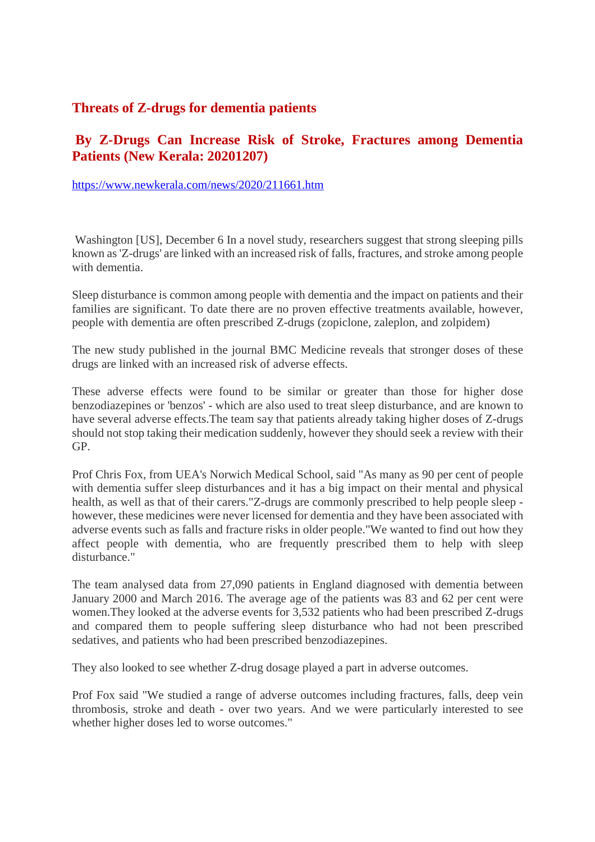## **Threats of Z-drugs for dementia patients**

# **By Z-Drugs Can Increase Risk of Stroke, Fractures among Dementia Patients (New Kerala: 20201207)**

https://www.newkerala.com/news/2020/211661.htm

Washington [US], December 6 In a novel study, researchers suggest that strong sleeping pills known as 'Z-drugs' are linked with an increased risk of falls, fractures, and stroke among people with dementia.

Sleep disturbance is common among people with dementia and the impact on patients and their families are significant. To date there are no proven effective treatments available, however, people with dementia are often prescribed Z-drugs (zopiclone, zaleplon, and zolpidem)

The new study published in the journal BMC Medicine reveals that stronger doses of these drugs are linked with an increased risk of adverse effects.

These adverse effects were found to be similar or greater than those for higher dose benzodiazepines or 'benzos' - which are also used to treat sleep disturbance, and are known to have several adverse effects.The team say that patients already taking higher doses of Z-drugs should not stop taking their medication suddenly, however they should seek a review with their GP.

Prof Chris Fox, from UEA's Norwich Medical School, said "As many as 90 per cent of people with dementia suffer sleep disturbances and it has a big impact on their mental and physical health, as well as that of their carers."Z-drugs are commonly prescribed to help people sleep however, these medicines were never licensed for dementia and they have been associated with adverse events such as falls and fracture risks in older people."We wanted to find out how they affect people with dementia, who are frequently prescribed them to help with sleep disturbance."

The team analysed data from 27,090 patients in England diagnosed with dementia between January 2000 and March 2016. The average age of the patients was 83 and 62 per cent were women.They looked at the adverse events for 3,532 patients who had been prescribed Z-drugs and compared them to people suffering sleep disturbance who had not been prescribed sedatives, and patients who had been prescribed benzodiazepines.

They also looked to see whether Z-drug dosage played a part in adverse outcomes.

Prof Fox said "We studied a range of adverse outcomes including fractures, falls, deep vein thrombosis, stroke and death - over two years. And we were particularly interested to see whether higher doses led to worse outcomes."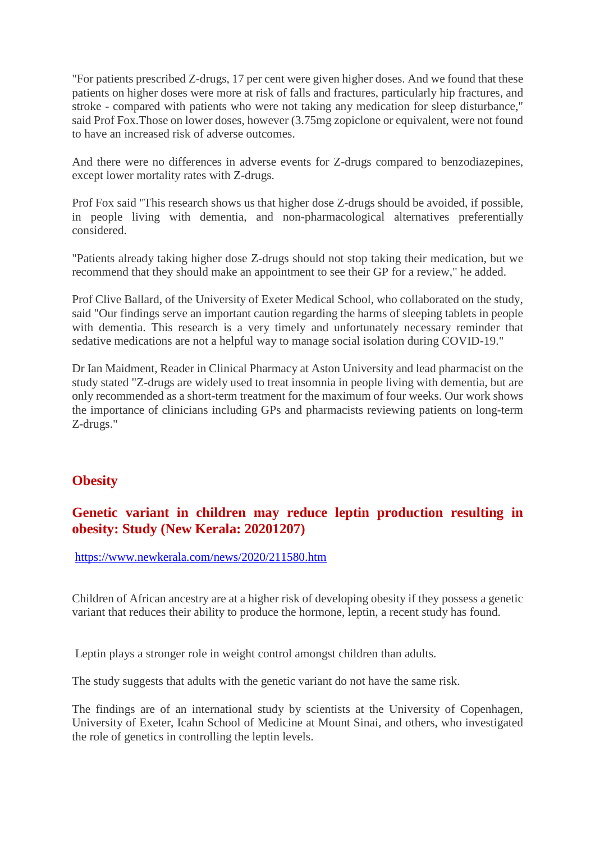"For patients prescribed Z-drugs, 17 per cent were given higher doses. And we found that these patients on higher doses were more at risk of falls and fractures, particularly hip fractures, and stroke - compared with patients who were not taking any medication for sleep disturbance," said Prof Fox.Those on lower doses, however (3.75mg zopiclone or equivalent, were not found to have an increased risk of adverse outcomes.

And there were no differences in adverse events for Z-drugs compared to benzodiazepines, except lower mortality rates with Z-drugs.

Prof Fox said "This research shows us that higher dose Z-drugs should be avoided, if possible, in people living with dementia, and non-pharmacological alternatives preferentially considered.

"Patients already taking higher dose Z-drugs should not stop taking their medication, but we recommend that they should make an appointment to see their GP for a review," he added.

Prof Clive Ballard, of the University of Exeter Medical School, who collaborated on the study, said "Our findings serve an important caution regarding the harms of sleeping tablets in people with dementia. This research is a very timely and unfortunately necessary reminder that sedative medications are not a helpful way to manage social isolation during COVID-19."

Dr Ian Maidment, Reader in Clinical Pharmacy at Aston University and lead pharmacist on the study stated "Z-drugs are widely used to treat insomnia in people living with dementia, but are only recommended as a short-term treatment for the maximum of four weeks. Our work shows the importance of clinicians including GPs and pharmacists reviewing patients on long-term Z-drugs."

### **Obesity**

# **Genetic variant in children may reduce leptin production resulting in obesity: Study (New Kerala: 20201207)**

https://www.newkerala.com/news/2020/211580.htm

Children of African ancestry are at a higher risk of developing obesity if they possess a genetic variant that reduces their ability to produce the hormone, leptin, a recent study has found.

Leptin plays a stronger role in weight control amongst children than adults.

The study suggests that adults with the genetic variant do not have the same risk.

The findings are of an international study by scientists at the University of Copenhagen, University of Exeter, Icahn School of Medicine at Mount Sinai, and others, who investigated the role of genetics in controlling the leptin levels.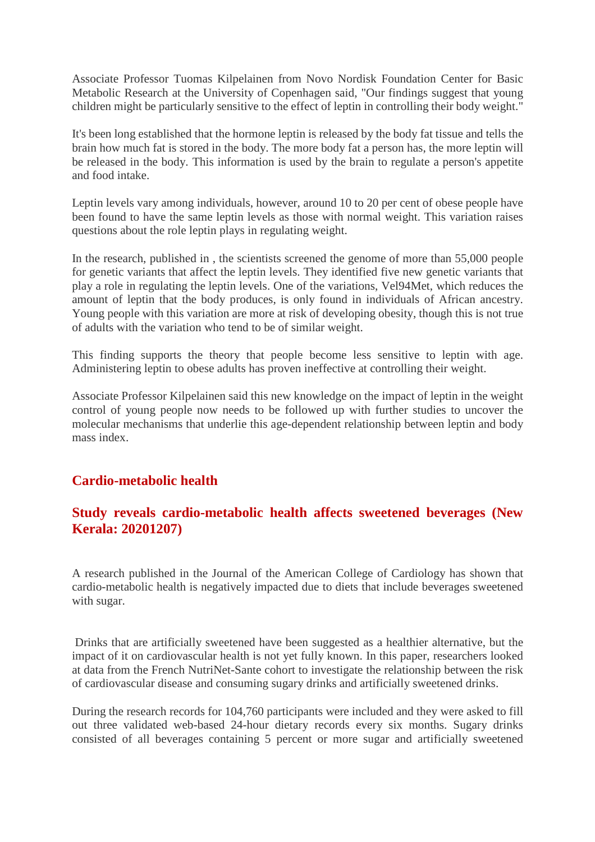Associate Professor Tuomas Kilpelainen from Novo Nordisk Foundation Center for Basic Metabolic Research at the University of Copenhagen said, "Our findings suggest that young children might be particularly sensitive to the effect of leptin in controlling their body weight."

It's been long established that the hormone leptin is released by the body fat tissue and tells the brain how much fat is stored in the body. The more body fat a person has, the more leptin will be released in the body. This information is used by the brain to regulate a person's appetite and food intake.

Leptin levels vary among individuals, however, around 10 to 20 per cent of obese people have been found to have the same leptin levels as those with normal weight. This variation raises questions about the role leptin plays in regulating weight.

In the research, published in , the scientists screened the genome of more than 55,000 people for genetic variants that affect the leptin levels. They identified five new genetic variants that play a role in regulating the leptin levels. One of the variations, Vel94Met, which reduces the amount of leptin that the body produces, is only found in individuals of African ancestry. Young people with this variation are more at risk of developing obesity, though this is not true of adults with the variation who tend to be of similar weight.

This finding supports the theory that people become less sensitive to leptin with age. Administering leptin to obese adults has proven ineffective at controlling their weight.

Associate Professor Kilpelainen said this new knowledge on the impact of leptin in the weight control of young people now needs to be followed up with further studies to uncover the molecular mechanisms that underlie this age-dependent relationship between leptin and body mass index.

### **Cardio-metabolic health**

# **Study reveals cardio-metabolic health affects sweetened beverages (New Kerala: 20201207)**

A research published in the Journal of the American College of Cardiology has shown that cardio-metabolic health is negatively impacted due to diets that include beverages sweetened with sugar.

Drinks that are artificially sweetened have been suggested as a healthier alternative, but the impact of it on cardiovascular health is not yet fully known. In this paper, researchers looked at data from the French NutriNet-Sante cohort to investigate the relationship between the risk of cardiovascular disease and consuming sugary drinks and artificially sweetened drinks.

During the research records for 104,760 participants were included and they were asked to fill out three validated web-based 24-hour dietary records every six months. Sugary drinks consisted of all beverages containing 5 percent or more sugar and artificially sweetened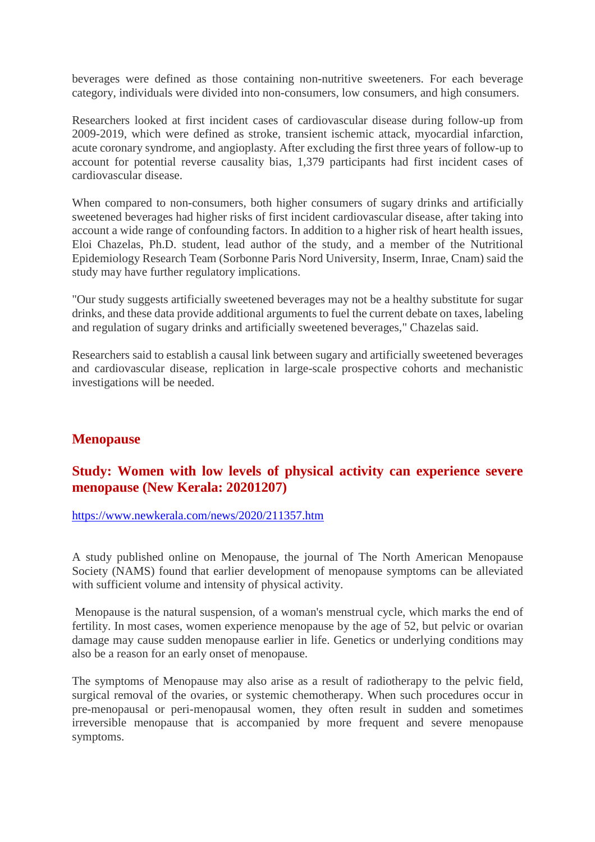beverages were defined as those containing non-nutritive sweeteners. For each beverage category, individuals were divided into non-consumers, low consumers, and high consumers.

Researchers looked at first incident cases of cardiovascular disease during follow-up from 2009-2019, which were defined as stroke, transient ischemic attack, myocardial infarction, acute coronary syndrome, and angioplasty. After excluding the first three years of follow-up to account for potential reverse causality bias, 1,379 participants had first incident cases of cardiovascular disease.

When compared to non-consumers, both higher consumers of sugary drinks and artificially sweetened beverages had higher risks of first incident cardiovascular disease, after taking into account a wide range of confounding factors. In addition to a higher risk of heart health issues, Eloi Chazelas, Ph.D. student, lead author of the study, and a member of the Nutritional Epidemiology Research Team (Sorbonne Paris Nord University, Inserm, Inrae, Cnam) said the study may have further regulatory implications.

"Our study suggests artificially sweetened beverages may not be a healthy substitute for sugar drinks, and these data provide additional arguments to fuel the current debate on taxes, labeling and regulation of sugary drinks and artificially sweetened beverages," Chazelas said.

Researchers said to establish a causal link between sugary and artificially sweetened beverages and cardiovascular disease, replication in large-scale prospective cohorts and mechanistic investigations will be needed.

# **Menopause**

# **Study: Women with low levels of physical activity can experience severe menopause (New Kerala: 20201207)**

#### https://www.newkerala.com/news/2020/211357.htm

A study published online on Menopause, the journal of The North American Menopause Society (NAMS) found that earlier development of menopause symptoms can be alleviated with sufficient volume and intensity of physical activity.

Menopause is the natural suspension, of a woman's menstrual cycle, which marks the end of fertility. In most cases, women experience menopause by the age of 52, but pelvic or ovarian damage may cause sudden menopause earlier in life. Genetics or underlying conditions may also be a reason for an early onset of menopause.

The symptoms of Menopause may also arise as a result of radiotherapy to the pelvic field, surgical removal of the ovaries, or systemic chemotherapy. When such procedures occur in pre-menopausal or peri-menopausal women, they often result in sudden and sometimes irreversible menopause that is accompanied by more frequent and severe menopause symptoms.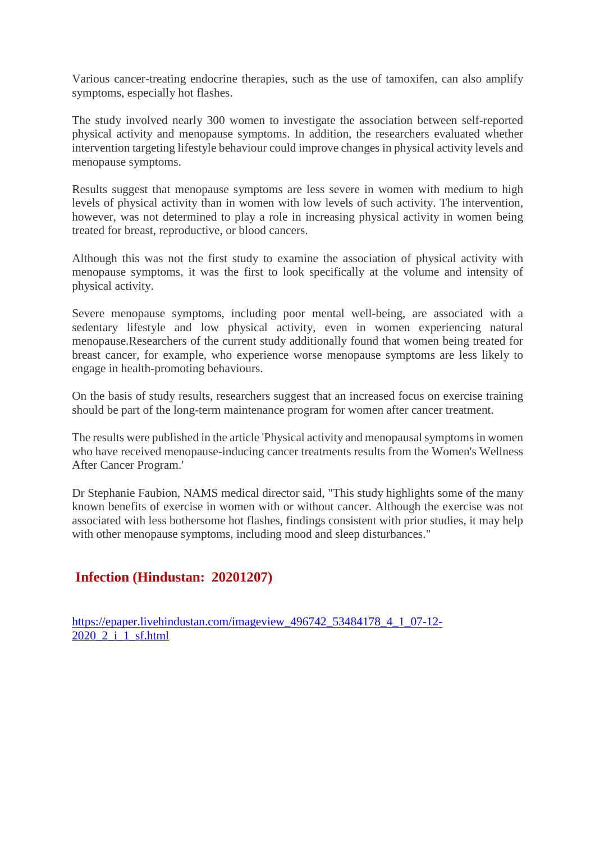Various cancer-treating endocrine therapies, such as the use of tamoxifen, can also amplify symptoms, especially hot flashes.

The study involved nearly 300 women to investigate the association between self-reported physical activity and menopause symptoms. In addition, the researchers evaluated whether intervention targeting lifestyle behaviour could improve changes in physical activity levels and menopause symptoms.

Results suggest that menopause symptoms are less severe in women with medium to high levels of physical activity than in women with low levels of such activity. The intervention, however, was not determined to play a role in increasing physical activity in women being treated for breast, reproductive, or blood cancers.

Although this was not the first study to examine the association of physical activity with menopause symptoms, it was the first to look specifically at the volume and intensity of physical activity.

Severe menopause symptoms, including poor mental well-being, are associated with a sedentary lifestyle and low physical activity, even in women experiencing natural menopause.Researchers of the current study additionally found that women being treated for breast cancer, for example, who experience worse menopause symptoms are less likely to engage in health-promoting behaviours.

On the basis of study results, researchers suggest that an increased focus on exercise training should be part of the long-term maintenance program for women after cancer treatment.

The results were published in the article 'Physical activity and menopausal symptoms in women who have received menopause-inducing cancer treatments results from the Women's Wellness After Cancer Program.'

Dr Stephanie Faubion, NAMS medical director said, "This study highlights some of the many known benefits of exercise in women with or without cancer. Although the exercise was not associated with less bothersome hot flashes, findings consistent with prior studies, it may help with other menopause symptoms, including mood and sleep disturbances."

# **Infection (Hindustan: 20201207)**

https://epaper.livehindustan.com/imageview\_496742\_53484178\_4\_1\_07-12-2020\_2\_i\_1\_sf.html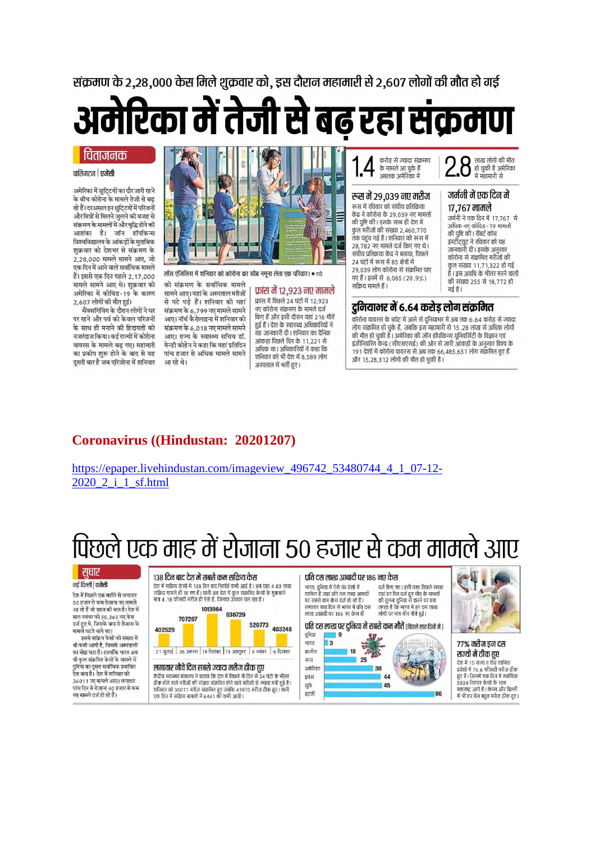संक्रमण के 2.28.000 केस मिले शक्रवार को. इस दौरान महामारी से 2.607 लोगों की मौत हो गई

अमेरिका में तेजी से बढ़ रहा संक्रमण

#### चिंताजनक

#### वाशिंगटन | एजेंसी

अमेरिका में छुट्टियों का दौर जारी रहने के बीच कोरोना के मामले तेजी से बढ़ रहे हैं। दरअसल इन छूटि्टयों में परिजनों और मित्रों से मिलने जुलने की वजह से .<br>संक्रमण के मामलों में और वृद्धि होने की आशंका है। जॉन हॉपकिन्स विश्वविद्यालय के आंकड़ों के मुताबिक शक्रवार को देशभर से संक्रमण के 2,28,000 मामले सामने आए, जो एक दिन में आने वाले सर्वाधिक मामले हैं। इससे एक दिन पहले 2.17.000 मामले सामने आए थे। शुक्रवार को अमेरिका में कोविड-19 के कारण 2,607 लोगों की मौत हुई।

थैंक्सगिविंग के दौरान लोगों ने घर पर रहने और पर्व को केवल परिजनों के साथ ही मनाने की हिदायतों को नजरंदाज किया। कई राज्यों में कोरोना वायरस के मामले बढ़ गए। महामारी का प्रकोप शुरू होने के बाद से यह दुसरी बार है जब एरिजोना में शनिवार



लॉस एंजिलिस में शनिवार को कोरोना का स्वैब नमूना लेता एक परिवार। • एपी

को संक्रमण के सर्वाधिक मामले सामने आए। यहां के अस्पताल मरीजों से पटे पडे हैं। शनिवार को यहां संक्रमण के 6,799 नए मामले सामने आए। नॉर्थ कैरोलाइना में शनिवार को संक्रमण के 6,018 नए मामले सामने आए। राज्य के स्वास्थ्य सचिव डॉ. मेन्डी कोहेन ने कहा कि यहां प्रतिदिन पांच हजार से अधिक मामले सामने आ रहे थे।

फ्रांस में 12,923 नए मामले फ्रांस में पिछले 24 घंटों में 12,923 नए कोरोना संक्रमण के मामले दर्ज किए हैं और इसी दौरान यहां 216 मौतें हुई हैं। देश के स्वास्थ्य अधिकारियों ने यह जानकारी दी। शनिवार का दैनिक आंकड़ा पिछले दिन के 11.221 से अधिक था। अधिकारियों ने कहा कि .<br>शनिवार को भी देश में 8,589 लोग अस्पताल में भर्ती हुए।

करोड से ज्यादा संक्रमण के मामले आ चुके हैं अबतक अमेरिका में

#### रुस में २९.०३९ नए मरीज

रूस में रविवार को संघीय पतिकिया केंद्र ने कोरोना के 29.039 नए मामलों की पुष्टि की। इसके साथ ही देश में कुल मरीजों की संख्या 2,460,770 तक पहुंच गई है। शनिवार को रूस में 28 782 नए मामले दर्ज किए गए थे। संघीय प्रतिकया केंद्र ने बताया पिछले 24 घंटों में रूस में 85 क्षेत्रों में 29,039 लोग कोरोना से संक्रमित पाए गए हैं। इनमें से 6,065 (20.9%) सक्रिय मामले हैं।

लाख लोगों की मौत हो चुकी है अमेरिका Z.O में महामारी से

#### जर्मनी में एक दिन में १७.७६७ मामले

जर्मनी ने एक दिन में 17,767 से .<br>अधिक नए कोविड–19 मामलों की पुष्टि की। रॉबर्ट कोच का कुट का स्पष्ट कान<br>इंस्टीट्यूट ने रविवार को यह<br>जानकारी दी। इसके अनुसार कोरोना से संक्रमित मरीजों की कुल संख्या 11,71,322 हो गई<br>है। इस अवधि के भीतर मरने वालों की संख्या 255 से 18,772 हो गई है।

### दुनियामर में ६.६४ करोड़ लोग संक्रमित

कोरोना वायरस के चपेट में आने से दुनियाभर में अब तक 6.64 करोड़ से ज्यादा कारित संक्रमित हो चुके हैं, जबकि इस महामारी से 15 .28 लाख से अधिक लोगों<br>लोग संक्रमित हो चुके हैं, जबकि इस महामारी से 15 .28 लाख से अधिक लोगों<br>की मौत हो चुकी है। अमेरिका की जॉन हॉपकिन्स यूनिवर्सिटी के विज्ञान एवं इंजीनियरिंग केन्द्र (सीएसएसई) की ओर से जारी आंकड़ों के अनुसार विश्व के 191 देशों में कोरोना वायरस से अब तक 66,485,651 लोग संक्रमित हुए हैं .<br>और 15,28,312 लोगों की मौत हो चुकी है।

# Coronavirus ((Hindustan: 20201207)

https://epaper.livehindustan.com/imageview 496742 53480744 4 1 07-12-2020 2 i 1 sf.html

# पिछले एक माह में रोजाना 50 हजार से कम मामले आए

णायिल

### | सुधार

नई दिल्ली | एजेंसी

.<br>देश में पिछले एक महीने से लगातार ५० हजार से कम रोजाना नए मामले आ रहे हैं जो राहत की बात है। देश मे सात नवंबर को 50,365 नए केस दर्ज हुए थे, जिसके बाद से रोजाना के मामले घटते चले गए।<br>सामले घटते चले गए।<br>इससे सक्रिय केसों की संख्या में भी कमी आयी है, जिससे अस्पतालों का बोझ घटा है। हालांकि भारत अब भी कुल संक्रमित केसों के मामले में दुनिया का दूसरा सर्वाधिक प्रभावित<br>देश बना है। देश में शनिवार को 36011 नए मामले आए। लगातार पांच दिन से रोजाना 40 हजार से कम नए मामले दर्ज हो रहे हैं।

#### १३८ दिन बाद देश में सबसे कम सकिय केस

देश में सक्रिय केसों में 138 दिन बाद रिकॉर्ड कमी आई है। अब यहां 4.03 लाख परा में साक्रय करता में 136 रेपण बोद त्रिकांड कमा आइ है । अब यहां 4.03 ले<br>सक्रिय मामले ही रह गए हैं । यानी अब देश में कुल संक्रमित कैसी के मुकाबले<br>मात्र 4 .18 फीसदी मरीज ही ऐसे हैं. जिनका उपचार चल रहा है । 1013964 838729 707267



#### लगातार नौवें दिन सबसे ज्यादा मरीज ठीक हए

, शनिवार को 36011 मरीज संक्रमित हुए जबकि 41970 मरीज ठीक हुए। यानी<br>एक दिन में सक्रिय मामलों में 6441 की कमी आयी।

#### पति दस लाख आबादी पर १८६ नए केस

.<br>भारत, दुनिया में ऐसे चंद देशों में दर्ज किए गए। इसी तरह पिछले सप्ताह .<br>जहां प्रति दस लाख आबादी रहां हर दिन दर्ज हुए मौत के मामलों<br>यहां हर दिन दर्ज हुए मौत के मामलों<br>की तुलना दुनिया से करने पर पता गर सबसे कम केस दर्ज दो रहे हैं। वर रावरा कम करा देश हो रहे हैं।<br>लगातार सात दिन से भारत में प्रति दस लाख आबादी पर 186 नए केस ही लोगों पर मात्र तीन मौतें हुई।

प्रति दस लाख पर दुनिया में सबसे कम मौतें (पिछले सात दिनों में)





७७% मरीज डन दस राज्यों में ठीक हए देश में 10 राज्य व केंद्र शासित प्रदेशों में 76.6 फीसदी मरीज़ दीक ब्रदेशी न 70.0 कार्सचा नराज ठाक<br>हुए हैं। जिसमें एक दिन में सर्वाधिक<br>5834 रिकवर कैसों के साथ .<br>महाराष्ट्र आगे है । केरल और दिल्ली में भी हर दिन बहुत मरीज ठीक हुए।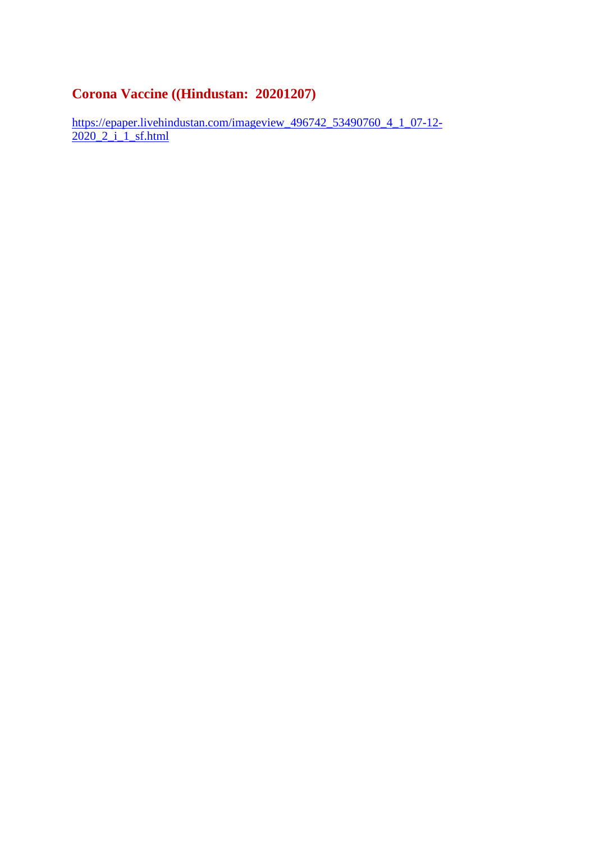# **Corona Vaccine ((Hindustan: 20201207)**

https://epaper.livehindustan.com/imageview\_496742\_53490760\_4\_1\_07-12-2020\_2\_i\_1\_sf.html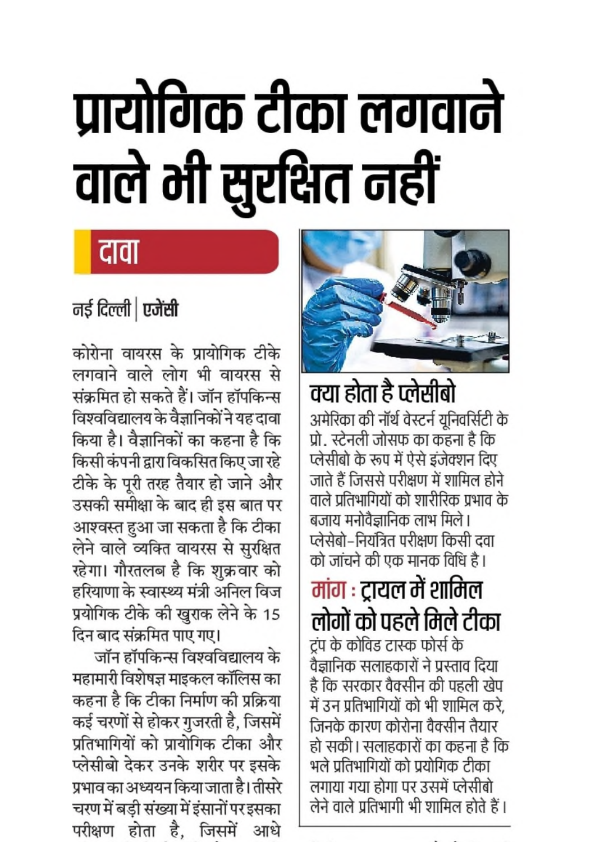# प्रायोगिक टीका लगवाने वाले भी सुरक्षित नहीं

# दावा

# नई दिल्ली | एजेंसी

कोरोना वायरस के प्रायोगिक टीके लगवाने वाले लोग भी वायरस से संक्रमित हो सकते हैं। जॉन हॉपकिन्स विश्वविद्यालय के वैज्ञानिकों ने यह दावा किया है। वैज्ञानिकों का कहना है कि किसी कंपनी द्वारा विकसित किए जा रहे टीके के पूरी तरह तैयार हो जाने और उसकी समीक्षा के बाद ही इस बात पर आश्वस्त हुआ जा सकता है कि टीका लेने वाले व्यक्ति वायरस से सुरक्षित रहेगा। गौरतलब है कि शुक्रवार को हरियाणा के स्वास्थ्य मंत्री अनिल विज प्रयोगिक टीके की खुराक लेने के 15 दिन बाद संक्रमित पाए गए।

जॉन हॉपकिन्स विश्वविद्यालय के महामारी विशेषज्ञ माइकल कॉलिस का कहना है कि टीका निर्माण की प्रक्रिया कई चरणों से होकर गुजरती है, जिसमें प्रतिभागियों को प्रायोगिक टीका और प्लेसीबो देकर उनके शरीर पर इसके प्रभाव का अध्ययन किया जाता है। तीसरे चरण में बड़ी संख्या में इंसानों पर इसका परीक्षण होता है. जिसमें आधे



# क्या होता है प्लेसीबो

अमेरिका की नॉर्थ वेस्टर्न यूनिवर्सिटी के प्रो. स्टेनली जोसफ का कहना है कि प्लेसीबो के रूप में ऐसे इंजेक्शन दिए जाते हैं जिससे परीक्षण में शामिल होने वाले प्रतिभागियों को शारीरिक प्रभाव के बजाय मनोवैज्ञानिक लाभ मिले। प्लेसेबो–नियंत्रित परीक्षण किसी दवा को जांचने की एक मानक विधि है।

मांग : ट्रायल में शामिल लोगों को पहले मिले टीका ट्रंप के कोविड टास्क फोर्स के वैज्ञानिक सलाहकारों ने प्रस्ताव दिया है कि सरकार वैक्सीन की पहली खेप में उन प्रतिभागियों को भी शामिल करे. जिनके कारण कोरोना वैक्सीन तैयार हो सकी। सलाहकारों का कहना है कि भले प्रतिभागियों को प्रयोगिक टीका लगाया गया होगा पर उसमें प्लेसीबो लेने वाले प्रतिभागी भी शामिल होते हैं।